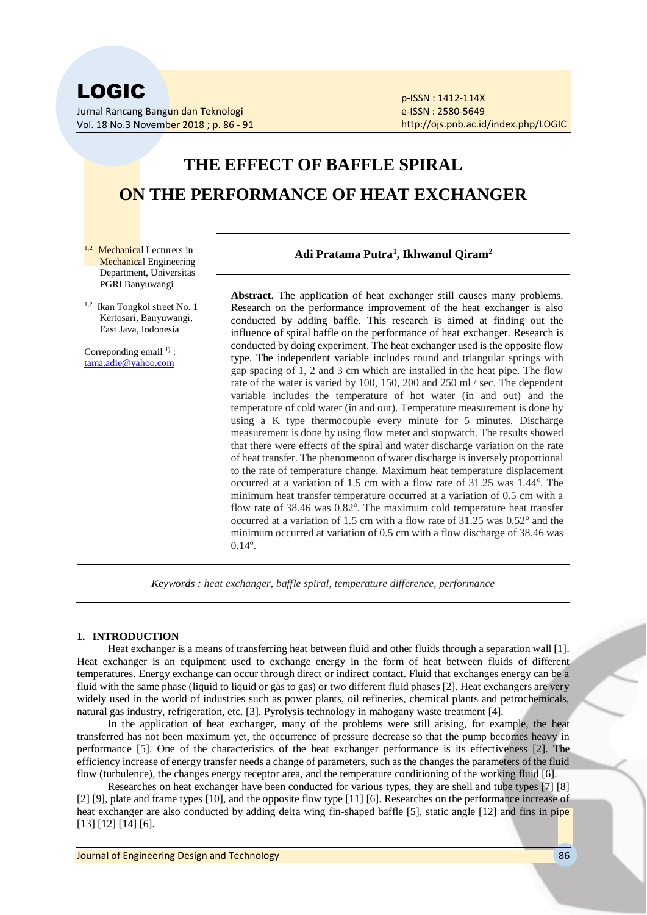Vol. 18 No.3 November 2018 ; p. 86 - 91

p-ISSN : 1412-114X e-ISSN : 2580-5649 http://ojs.pnb.ac.id/index.php/LOGIC

# **THE EFFECT OF BAFFLE SPIRAL ON THE PERFORMANCE OF HEAT EXCHANGER**

- $1,2$  Mechanical Lecturers in Mechanical Engineering Department, Universitas PGRI Banyuwangi
- 1,2 Ikan Tongkol street No. 1 Kertosari, Banyuwangi, East Java, Indonesia

Correponding email <sup>1)</sup>: tama.adie@yahoo.com

# **Adi Pratama Putra<sup>1</sup> , Ikhwanul Qiram<sup>2</sup>**

Abstract. The application of heat exchanger still causes many problems. Research on the performance improvement of the heat exchanger is also conducted by adding baffle. This research is aimed at finding out the influence of spiral baffle on the performance of heat exchanger. Research is conducted by doing experiment. The heat exchanger used is the opposite flow type. The independent variable includes round and triangular springs with gap spacing of 1, 2 and 3 cm which are installed in the heat pipe. The flow rate of the water is varied by 100, 150, 200 and 250 ml / sec. The dependent variable includes the temperature of hot water (in and out) and the temperature of cold water (in and out). Temperature measurement is done by using a K type thermocouple every minute for 5 minutes. Discharge measurement is done by using flow meter and stopwatch. The results showed that there were effects of the spiral and water discharge variation on the rate of heat transfer. The phenomenon of water discharge is inversely proportional to the rate of temperature change. Maximum heat temperature displacement occurred at a variation of 1.5 cm with a flow rate of 31.25 was 1.44°. The minimum heat transfer temperature occurred at a variation of 0.5 cm with a flow rate of 38.46 was 0.82°. The maximum cold temperature heat transfer occurred at a variation of 1.5 cm with a flow rate of  $31.25$  was  $0.52^{\circ}$  and the minimum occurred at variation of 0.5 cm with a flow discharge of 38.46 was  $0.14^{\circ}$ .

*Keywords : heat exchanger, baffle spiral, temperature difference, performance*

# **1. INTRODUCTION**

Heat exchanger is a means of transferring heat between fluid and other fluids through a separation wall [1]. Heat exchanger is an equipment used to exchange energy in the form of heat between fluids of different temperatures. Energy exchange can occur through direct or indirect contact. Fluid that exchanges energy can be a fluid with the same phase (liquid to liquid or gas to gas) or two different fluid phases [2]. Heat exchangers are very widely used in the world of industries such as power plants, oil refineries, chemical plants and petrochemicals, natural gas industry, refrigeration, etc. [3]. Pyrolysis technology in mahogany waste treatment [4].

In the application of heat exchanger, many of the problems were still arising, for example, the heat transferred has not been maximum yet, the occurrence of pressure decrease so that the pump becomes heavy in performance [5]. One of the characteristics of the heat exchanger performance is its effectiveness [2]. The efficiency increase of energy transfer needs a change of parameters, such as the changes the parameters of the fluid flow (turbulence), the changes energy receptor area, and the temperature conditioning of the working fluid [6].

Researches on heat exchanger have been conducted for various types, they are shell and tube types [7] [8] [2] [9], plate and frame types [10], and the opposite flow type [11] [6]. Researches on the performance increase of heat exchanger are also conducted by adding delta wing fin-shaped baffle [5], static angle [12] and fins in pipe [13] [12] [14] [6].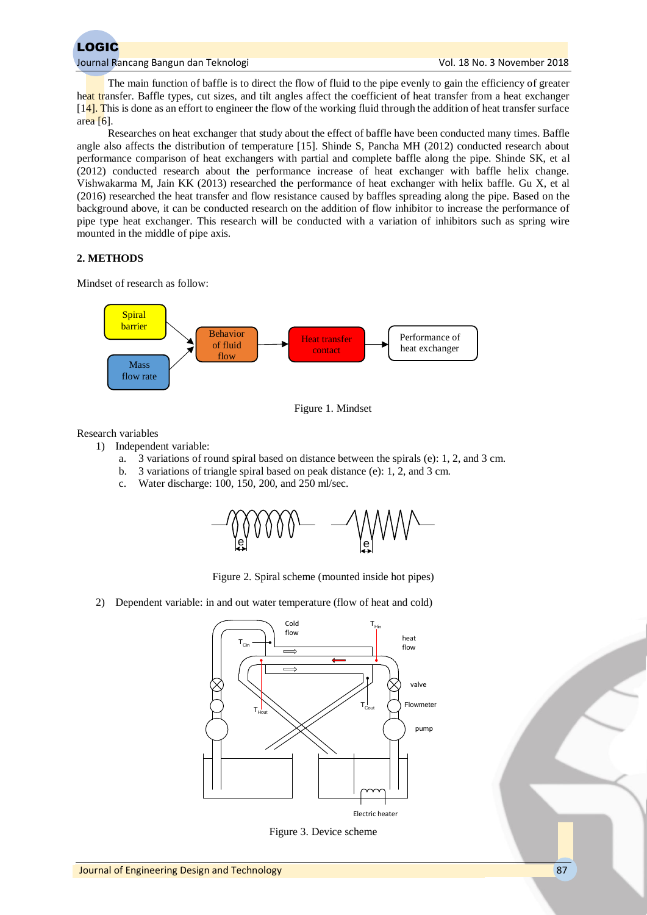

The main function of baffle is to direct the flow of fluid to the pipe evenly to gain the efficiency of greater heat transfer. Baffle types, cut sizes, and tilt angles affect the coefficient of heat transfer from a heat exchanger  $[14]$ . This is done as an effort to engineer the flow of the working fluid through the addition of heat transfer surface area  $[6]$ .

Researches on heat exchanger that study about the effect of baffle have been conducted many times. Baffle angle also affects the distribution of temperature [15]. Shinde S, Pancha MH (2012) conducted research about performance comparison of heat exchangers with partial and complete baffle along the pipe. Shinde SK, et al (2012) conducted research about the performance increase of heat exchanger with baffle helix change. Vishwakarma M, Jain KK (2013) researched the performance of heat exchanger with helix baffle. Gu X, et al (2016) researched the heat transfer and flow resistance caused by baffles spreading along the pipe. Based on the background above, it can be conducted research on the addition of flow inhibitor to increase the performance of pipe type heat exchanger. This research will be conducted with a variation of inhibitors such as spring wire mounted in the middle of pipe axis.

# **2. METHODS**

Mindset of research as follow:





Research variables

- 1) Independent variable:
	- a. 3 variations of round spiral based on distance between the spirals (e): 1, 2, and 3 cm.
	- b. 3 variations of triangle spiral based on peak distance (e): 1, 2, and 3 cm.
	- c. Water discharge: 100, 150, 200, and 250 ml/sec.



Figure 2. Spiral scheme (mounted inside hot pipes)

2) Dependent variable: in and out water temperature (flow of heat and cold)



Figure 3. Device scheme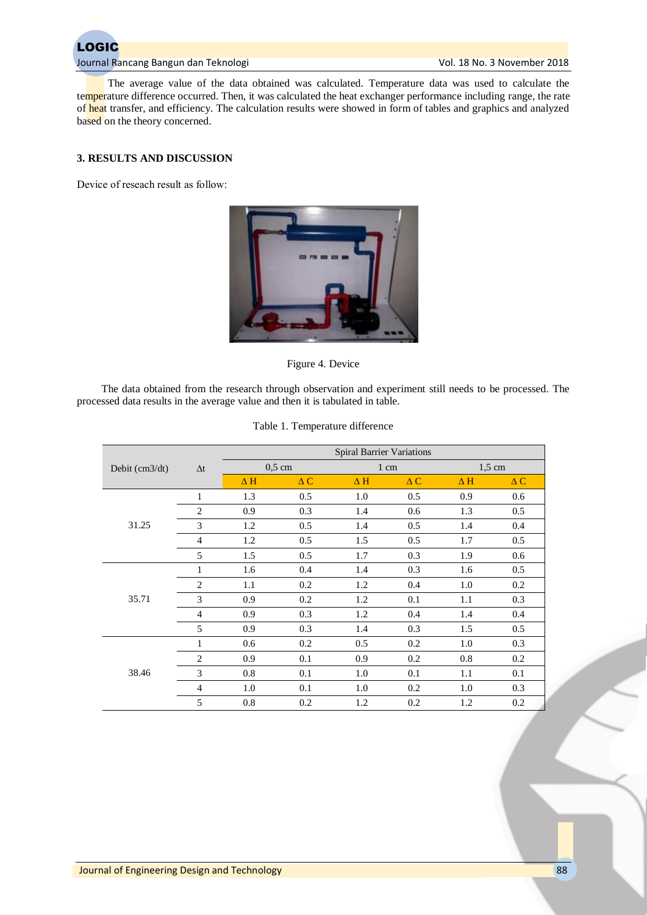

The average value of the data obtained was calculated. Temperature data was used to calculate the temperature difference occurred. Then, it was calculated the heat exchanger performance including range, the rate of heat transfer, and efficiency. The calculation results were showed in form of tables and graphics and analyzed based on the theory concerned.

# **3. RESULTS AND DISCUSSION**

Device of reseach result as follow:



Figure 4. Device

The data obtained from the research through observation and experiment still needs to be processed. The processed data results in the average value and then it is tabulated in table.

|                  | $\Delta t$     | <b>Spiral Barrier Variations</b> |               |            |               |                  |               |  |
|------------------|----------------|----------------------------------|---------------|------------|---------------|------------------|---------------|--|
| Debit $(cm3/dt)$ |                | $0,5$ cm                         |               | 1 cm       |               | $1.5 \text{ cm}$ |               |  |
|                  |                | $\Delta H$                       | $\triangle C$ | $\Delta H$ | $\triangle C$ | $\Delta H$       | $\triangle C$ |  |
| 31.25            | 1              | 1.3                              | 0.5           | 1.0        | 0.5           | 0.9              | 0.6           |  |
|                  | $\overline{2}$ | 0.9                              | 0.3           | 1.4        | 0.6           | 1.3              | 0.5           |  |
|                  | 3              | 1.2                              | 0.5           | 1.4        | 0.5           | 1.4              | 0.4           |  |
|                  | $\overline{4}$ | 1.2                              | 0.5           | 1.5        | 0.5           | 1.7              | 0.5           |  |
|                  | 5              | 1.5                              | 0.5           | 1.7        | 0.3           | 1.9              | 0.6           |  |
| 35.71            | 1              | 1.6                              | 0.4           | 1.4        | 0.3           | 1.6              | 0.5           |  |
|                  | 2              | 1.1                              | 0.2           | 1.2        | 0.4           | 1.0              | 0.2           |  |
|                  | 3              | 0.9                              | 0.2           | 1.2        | 0.1           | 1.1              | 0.3           |  |
|                  | $\overline{4}$ | 0.9                              | 0.3           | 1.2        | 0.4           | 1.4              | 0.4           |  |
|                  | 5              | 0.9                              | 0.3           | 1.4        | 0.3           | 1.5              | 0.5           |  |
| 38.46            | $\mathbf{1}$   | 0.6                              | 0.2           | 0.5        | 0.2           | 1.0              | 0.3           |  |
|                  | $\mathbf{2}$   | 0.9                              | 0.1           | 0.9        | 0.2           | 0.8              | 0.2           |  |
|                  | 3              | 0.8                              | 0.1           | 1.0        | 0.1           | 1.1              | 0.1           |  |
|                  | $\overline{4}$ | 1.0                              | 0.1           | 1.0        | 0.2           | 1.0              | 0.3           |  |
|                  | 5              | 0.8                              | 0.2           | 1.2        | 0.2           | 1.2              | 0.2           |  |

# Table 1. Temperature difference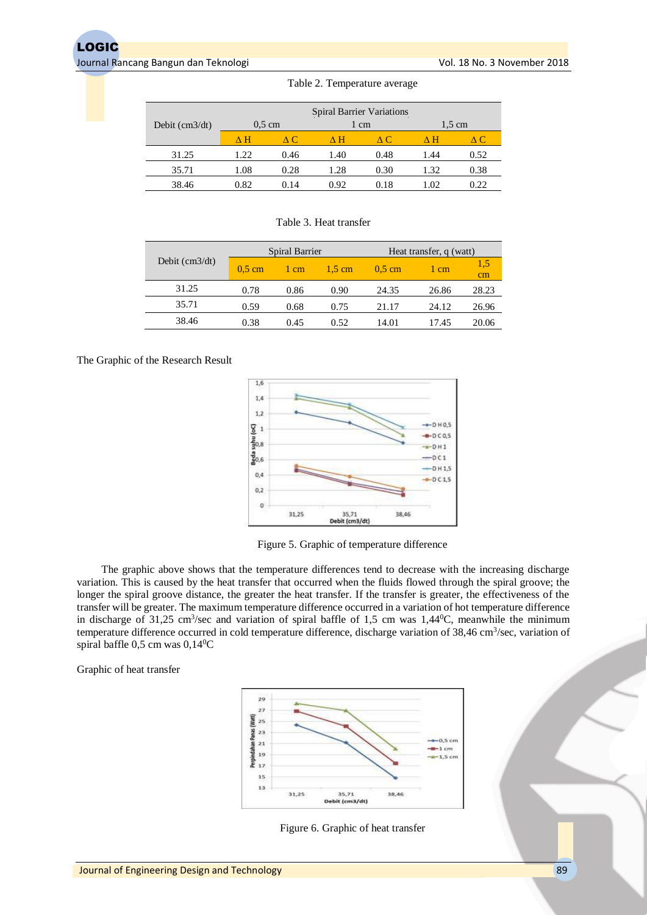|                  |                  |      |      | <b>Spiral Barrier Variations</b> |      |                  |  |
|------------------|------------------|------|------|----------------------------------|------|------------------|--|
| Debit $(cm3/dt)$ | $0.5 \text{ cm}$ |      |      | 1 cm                             |      | $1.5 \text{ cm}$ |  |
|                  | ΛH               | A C. | л н  | A C                              | ΛН   | $\triangle$ C    |  |
| 31.25            | 1.22             | 0.46 | 1.40 | 0.48                             | 1.44 | 0.52             |  |
| 35.71            | 1.08             | 0.28 | 1.28 | 0.30                             | 1.32 | 0.38             |  |
| 38.46            | 0.82             | 0.14 | 0.92 | 0.18                             | 1.02 | 0.22             |  |

#### Table 2. Temperature average

Table 3. Heat transfer

| Debit $\text{(cm3/dt)}$ | Spiral Barrier   |      |                  | Heat transfer, q (watt) |       |                 |
|-------------------------|------------------|------|------------------|-------------------------|-------|-----------------|
|                         | $0.5 \text{ cm}$ | 1 cm | $1.5 \text{ cm}$ | $0.5 \text{ cm}$        | 1 cm  | 1.5<br>$\rm cm$ |
| 31.25                   | 0.78             | 0.86 | 0.90             | 24.35                   | 26.86 | 28.23           |
| 35.71                   | 0.59             | 0.68 | 0.75             | 21.17                   | 24.12 | 26.96           |
| 38.46                   | 0.38             | 0.45 | 0.52             | 14.01                   | 17.45 | 20.06           |

# The Graphic of the Research Result



Figure 5. Graphic of temperature difference

The graphic above shows that the temperature differences tend to decrease with the increasing discharge variation. This is caused by the heat transfer that occurred when the fluids flowed through the spiral groove; the longer the spiral groove distance, the greater the heat transfer. If the transfer is greater, the effectiveness of the transfer will be greater. The maximum temperature difference occurred in a variation of hot temperature difference in discharge of 31,25 cm<sup>3</sup>/sec and variation of spiral baffle of 1,5 cm was 1,44<sup>0</sup>C, meanwhile the minimum temperature difference occurred in cold temperature difference, discharge variation of 38,46 cm<sup>3</sup>/sec, variation of spiral baffle  $0.5$  cm was  $0.14$ <sup>o</sup>C

Graphic of heat transfer



Figure 6. Graphic of heat transfer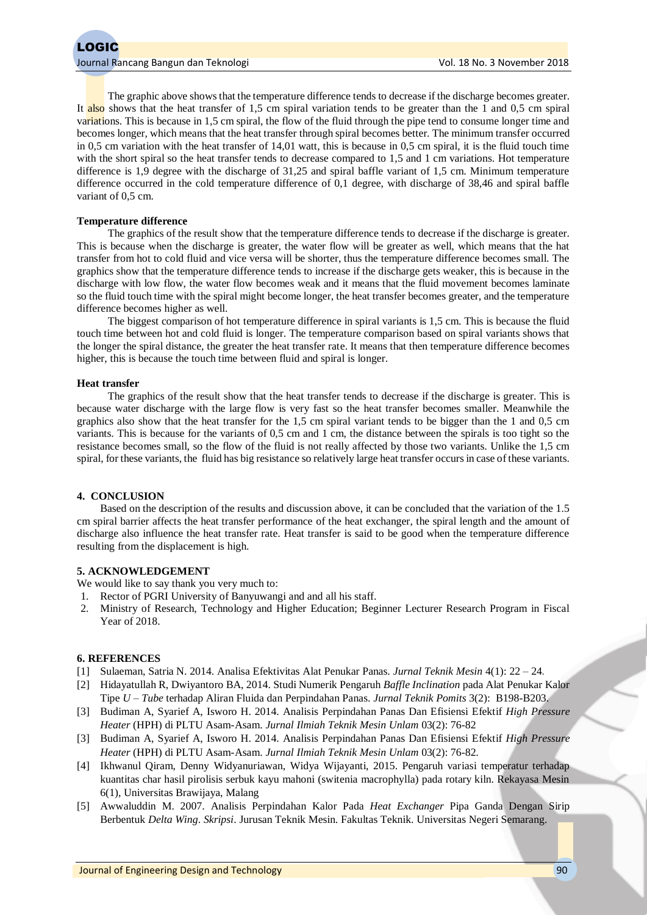The graphic above shows that the temperature difference tends to decrease if the discharge becomes greater. It also shows that the heat transfer of 1,5 cm spiral variation tends to be greater than the 1 and 0,5 cm spiral variations. This is because in 1,5 cm spiral, the flow of the fluid through the pipe tend to consume longer time and becomes longer, which means that the heat transfer through spiral becomes better. The minimum transfer occurred in 0,5 cm variation with the heat transfer of 14,01 watt, this is because in 0,5 cm spiral, it is the fluid touch time with the short spiral so the heat transfer tends to decrease compared to 1,5 and 1 cm variations. Hot temperature difference is 1,9 degree with the discharge of 31,25 and spiral baffle variant of 1,5 cm. Minimum temperature difference occurred in the cold temperature difference of 0,1 degree, with discharge of 38,46 and spiral baffle variant of  $0.5$  cm.

#### **Temperature difference**

The graphics of the result show that the temperature difference tends to decrease if the discharge is greater. This is because when the discharge is greater, the water flow will be greater as well, which means that the hat transfer from hot to cold fluid and vice versa will be shorter, thus the temperature difference becomes small. The graphics show that the temperature difference tends to increase if the discharge gets weaker, this is because in the discharge with low flow, the water flow becomes weak and it means that the fluid movement becomes laminate so the fluid touch time with the spiral might become longer, the heat transfer becomes greater, and the temperature difference becomes higher as well.

The biggest comparison of hot temperature difference in spiral variants is 1,5 cm. This is because the fluid touch time between hot and cold fluid is longer. The temperature comparison based on spiral variants shows that the longer the spiral distance, the greater the heat transfer rate. It means that then temperature difference becomes higher, this is because the touch time between fluid and spiral is longer.

#### **Heat transfer**

The graphics of the result show that the heat transfer tends to decrease if the discharge is greater. This is because water discharge with the large flow is very fast so the heat transfer becomes smaller. Meanwhile the graphics also show that the heat transfer for the 1,5 cm spiral variant tends to be bigger than the 1 and 0,5 cm variants. This is because for the variants of 0,5 cm and 1 cm, the distance between the spirals is too tight so the resistance becomes small, so the flow of the fluid is not really affected by those two variants. Unlike the 1,5 cm spiral, for these variants, the fluid has big resistance so relatively large heat transfer occurs in case of these variants.

# **4. CONCLUSION**

Based on the description of the results and discussion above, it can be concluded that the variation of the 1.5 cm spiral barrier affects the heat transfer performance of the heat exchanger, the spiral length and the amount of discharge also influence the heat transfer rate. Heat transfer is said to be good when the temperature difference resulting from the displacement is high.

#### **5. ACKNOWLEDGEMENT**

We would like to say thank you very much to:

- 1. Rector of PGRI University of Banyuwangi and and all his staff.
- 2. Ministry of Research, Technology and Higher Education; Beginner Lecturer Research Program in Fiscal Year of 2018.

#### **6. REFERENCES**

- [1] Sulaeman, Satria N. 2014. Analisa Efektivitas Alat Penukar Panas. *Jurnal Teknik Mesin* 4(1): 22 24.
- [2] Hidayatullah R, Dwiyantoro BA, 2014. Studi Numerik Pengaruh *Baffle Inclination* pada Alat Penukar Kalor Tipe *U – Tube* terhadap Aliran Fluida dan Perpindahan Panas. *Jurnal Teknik Pomits* 3(2): B198-B203.
- [3] Budiman A, Syarief A, Isworo H. 2014. Analisis Perpindahan Panas Dan Efisiensi Efektif *High Pressure Heater* (HPH) di PLTU Asam-Asam. *Jurnal Ilmiah Teknik Mesin Unlam* 03(2): 76-82
- [3] Budiman A, Syarief A, Isworo H. 2014. Analisis Perpindahan Panas Dan Efisiensi Efektif *High Pressure Heater* (HPH) di PLTU Asam-Asam. *Jurnal Ilmiah Teknik Mesin Unlam* 03(2): 76-82.
- [4] Ikhwanul Qiram, Denny Widyanuriawan, Widya Wijayanti, 2015. Pengaruh variasi temperatur terhadap kuantitas char hasil pirolisis serbuk kayu mahoni (switenia macrophylla) pada rotary kiln. Rekayasa Mesin 6(1), Universitas Brawijaya, Malang
- [5] Awwaluddin M. 2007. Analisis Perpindahan Kalor Pada *Heat Exchanger* Pipa Ganda Dengan Sirip Berbentuk *Delta Wing*. *Skripsi*. Jurusan Teknik Mesin. Fakultas Teknik. Universitas Negeri Semarang.